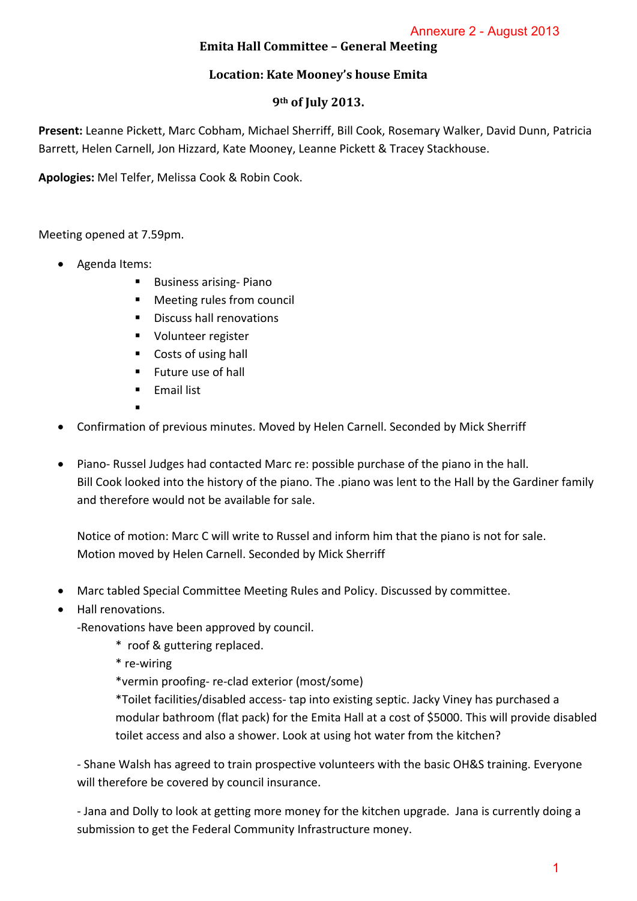## **Emita Hall Committee – General Meeting**

## **Location: Kate Mooney's house Emita**

#### **9th of July 2013.**

**Present:** Leanne Pickett, Marc Cobham, Michael Sherriff, Bill Cook, Rosemary Walker, David Dunn, Patricia Barrett, Helen Carnell, Jon Hizzard, Kate Mooney, Leanne Pickett & Tracey Stackhouse.

**Apologies:** Mel Telfer, Melissa Cook & Robin Cook.

Meeting opened at 7.59pm.

- Agenda Items:
	- Business arising-Piano
	- Meeting rules from council
	- Discuss hall renovations
	- **Volunteer register**
	- Costs of using hall
	- $\blacksquare$  Future use of hall
	- **Email list**
	- .
- Confirmation of previous minutes. Moved by Helen Carnell. Seconded by Mick Sherriff
- Piano‐ Russel Judges had contacted Marc re: possible purchase of the piano in the hall. Bill Cook looked into the history of the piano. The .piano was lent to the Hall by the Gardiner family and therefore would not be available for sale. Annexure 2 - August 2013<br>
Eting<br>
ita<br>
ita<br>
ita<br>
ita<br>
emary Walker, David Dunn, P<br>
ey Stackhouse.<br>
David Dunn, P<br>
ey Stackhouse.<br>
And the Hall by the Gardiner<br>
it to the Hall by the Gardiner<br>
it the piano is not for sale.<br>

Notice of motion: Marc C will write to Russel and inform him that the piano is not for sale. Motion moved by Helen Carnell. Seconded by Mick Sherriff

- Marc tabled Special Committee Meeting Rules and Policy. Discussed by committee.
- Hall renovations.

‐Renovations have been approved by council.

- \* roof & guttering replaced.
- \* re‐wiring

\*vermin proofing‐ re‐clad exterior (most/some)

\*Toilet facilities/disabled access‐ tap into existing septic. Jacky Viney has purchased a modular bathroom (flat pack) for the Emita Hall at a cost of \$5000. This will provide disabled toilet access and also a shower. Look at using hot water from the kitchen?

‐ Shane Walsh has agreed to train prospective volunteers with the basic OH&S training. Everyone will therefore be covered by council insurance.

‐ Jana and Dolly to look at getting more money for the kitchen upgrade. Jana is currently doing a submission to get the Federal Community Infrastructure money.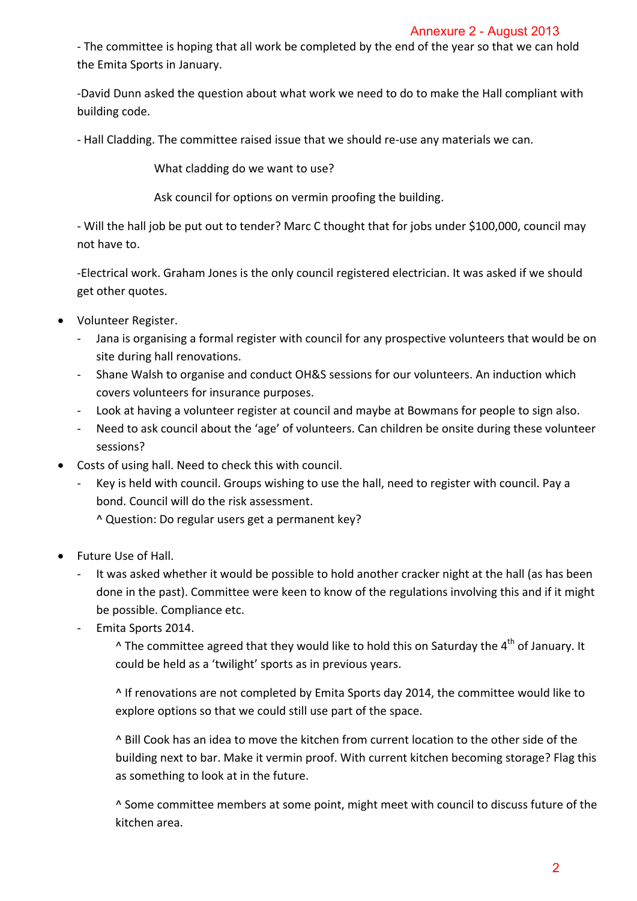## Annexure 2 - August 2013

‐ The committee is hoping that all work be completed by the end of the year so that we can hold the Emita Sports in January.

‐David Dunn asked the question about what work we need to do to make the Hall compliant with building code.

‐ Hall Cladding. The committee raised issue that we should re‐use any materials we can.

What cladding do we want to use?

Ask council for options on vermin proofing the building.

‐ Will the hall job be put out to tender? Marc C thought that for jobs under \$100,000, council may not have to.

‐Electrical work. Graham Jones is the only council registered electrician. It was asked if we should get other quotes.

- Volunteer Register.
	- ‐ Jana is organising a formal register with council for any prospective volunteers that would be on site during hall renovations.
	- ‐ Shane Walsh to organise and conduct OH&S sessions for our volunteers. An induction which covers volunteers for insurance purposes.
	- ‐ Look at having a volunteer register at council and maybe at Bowmans for people to sign also.
	- ‐ Need to ask council about the 'age' of volunteers. Can children be onsite during these volunteer sessions?
- Costs of using hall. Need to check this with council.
	- ‐ Key is held with council. Groups wishing to use the hall, need to register with council. Pay a bond. Council will do the risk assessment.
		- ^ Question: Do regular users get a permanent key?
- Future Use of Hall.
- It was asked whether it would be possible to hold another cracker night at the hall (as has been done in the past). Committee were keen to know of the regulations involving this and if it might be possible. Compliance etc. Annexure 2 - August 2013<br>
ald of the year so that we can l<br>
b to make the Hall compliant<br>
b to make the Hall compliant<br>
e any materials we can.<br>
iilding.<br>
jobs under \$100,000, counci<br>
ctrician. It was asked if we sh<br>
pect
	- ‐ Emita Sports 2014.

 $\wedge$  The committee agreed that they would like to hold this on Saturday the  $4^{th}$  of January. It could be held as a 'twilight' sports as in previous years.

^ If renovations are not completed by Emita Sports day 2014, the committee would like to explore options so that we could still use part of the space.

^ Bill Cook has an idea to move the kitchen from current location to the other side of the building next to bar. Make it vermin proof. With current kitchen becoming storage? Flag this as something to look at in the future.

^ Some committee members at some point, might meet with council to discuss future of the kitchen area.